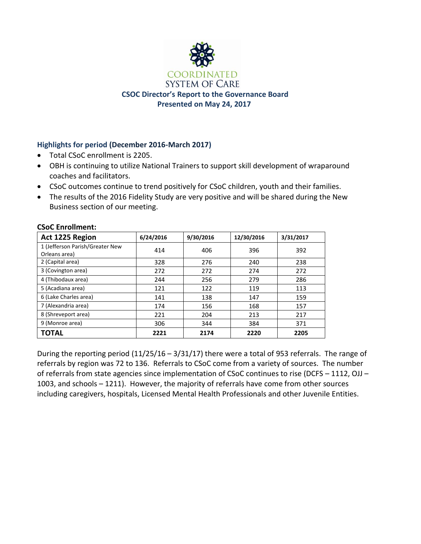

# **Highlights for period (December 2016-March 2017)**

- Total CSoC enrollment is 2205.
- OBH is continuing to utilize National Trainers to support skill development of wraparound coaches and facilitators.
- CSoC outcomes continue to trend positively for CSoC children, youth and their families.
- The results of the 2016 Fidelity Study are very positive and will be shared during the New Business section of our meeting.

| Act 1225 Region                                  | 6/24/2016 | 9/30/2016 | 12/30/2016 | 3/31/2017 |
|--------------------------------------------------|-----------|-----------|------------|-----------|
| 1 (Jefferson Parish/Greater New<br>Orleans area) | 414       | 406       | 396        | 392       |
| 2 (Capital area)                                 | 328       | 276       | 240        | 238       |
| 3 (Covington area)                               | 272       | 272       | 274        | 272       |
| 4 (Thibodaux area)                               | 244       | 256       | 279        | 286       |
| 5 (Acadiana area)                                | 121       | 122       | 119        | 113       |
| 6 (Lake Charles area)                            | 141       | 138       | 147        | 159       |
| 7 (Alexandria area)                              | 174       | 156       | 168        | 157       |
| 8 (Shreveport area)                              | 221       | 204       | 213        | 217       |
| 9 (Monroe area)                                  | 306       | 344       | 384        | 371       |
| <b>TOTAL</b>                                     | 2221      | 2174      | 2220       | 2205      |

# **CSoC Enrollment:**

During the reporting period (11/25/16 – 3/31/17) there were a total of 953 referrals. The range of referrals by region was 72 to 136. Referrals to CSoC come from a variety of sources. The number of referrals from state agencies since implementation of CSoC continues to rise (DCFS – 1112, OJJ – 1003, and schools – 1211). However, the majority of referrals have come from other sources including caregivers, hospitals, Licensed Mental Health Professionals and other Juvenile Entities.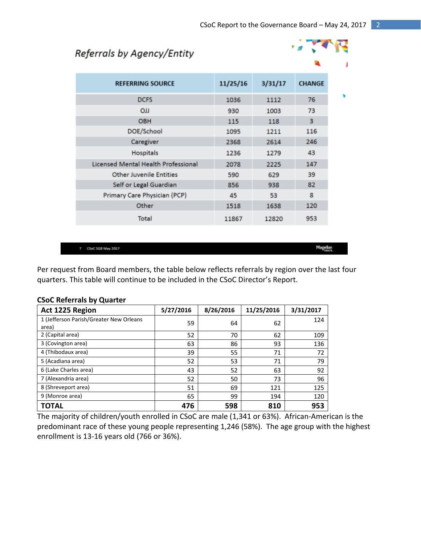# Referrals by Agency/Entity



Magellan<br>Hasz

| <b>REFERRING SOURCE</b>             | 11/25/16 | 3/31/17 | <b>CHANGE</b> |
|-------------------------------------|----------|---------|---------------|
| <b>DCFS</b>                         | 1036     | 1112    | 76            |
| LLO                                 | 930      | 1003    | 73            |
| <b>OBH</b>                          | 115      | 118     | 3             |
| DOE/School                          | 1095     | 1211    | 116           |
| Caregiver                           | 2368     | 2614    | 246           |
| Hospitals                           | 1236     | 1279    | 43            |
| Licensed Mental Health Professional | 2078     | 2225    | 147           |
| <b>Other Juvenile Entities</b>      | 590      | 629     | 39            |
| Self or Legal Guardian              | 856      | 938     | 82            |
| Primary Care Physician (PCP)        | 45       | 53      | 8             |
| Other                               | 1518     | 1638    | 120           |
| Total                               | 11867    | 12820   | 953           |

7 CSoC SGB May 2017

Per request from Board members, the table below reflects referrals by region over the last four quarters. This table will continue to be included in the CSoC Director's Report.

| Act 1225 Region                                  | 5/27/2016 | 8/26/2016 | 11/25/2016 | 3/31/2017 |
|--------------------------------------------------|-----------|-----------|------------|-----------|
| 1 (Jefferson Parish/Greater New Orleans<br>area) | 59        | 64        | 62         | 124       |
| 2 (Capital area)                                 | 52        | 70        | 62         | 109       |
| 3 (Covington area)                               | 63        | 86        | 93         | 136       |
| 4 (Thibodaux area)                               | 39        | 55        | 71         | 72        |
| 5 (Acadiana area)                                | 52        | 53        | 71         | 79        |
| 6 (Lake Charles area)                            | 43        | 52        | 63         | 92        |
| 7 (Alexandria area)                              | 52        | 50        | 73         | 96        |
| 8 (Shreveport area)                              | 51        | 69        | 121        | 125       |
| 9 (Monroe area)                                  | 65        | 99        | 194        | 120       |
| ΓΟΤΑL                                            | 476       | 598       | 810        | 953       |

#### **CSoC Referrals by Quarter**

The majority of children/youth enrolled in CSoC are male (1,341 or 63%). African-American is the predominant race of these young people representing 1,246 (58%). The age group with the highest enrollment is 13-16 years old (766 or 36%).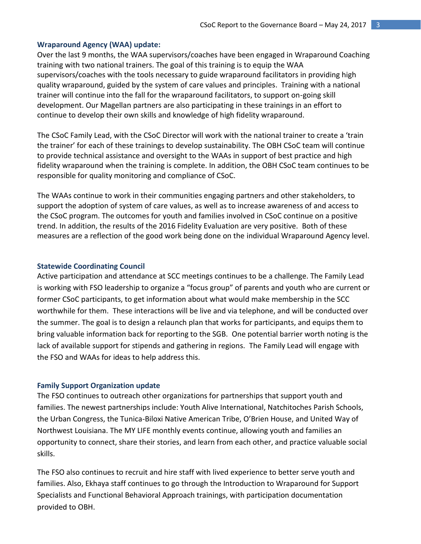#### **Wraparound Agency (WAA) update:**

Over the last 9 months, the WAA supervisors/coaches have been engaged in Wraparound Coaching training with two national trainers. The goal of this training is to equip the WAA supervisors/coaches with the tools necessary to guide wraparound facilitators in providing high quality wraparound, guided by the system of care values and principles. Training with a national trainer will continue into the fall for the wraparound facilitators, to support on-going skill development. Our Magellan partners are also participating in these trainings in an effort to continue to develop their own skills and knowledge of high fidelity wraparound.

The CSoC Family Lead, with the CSoC Director will work with the national trainer to create a 'train the trainer' for each of these trainings to develop sustainability. The OBH CSoC team will continue to provide technical assistance and oversight to the WAAs in support of best practice and high fidelity wraparound when the training is complete. In addition, the OBH CSoC team continues to be responsible for quality monitoring and compliance of CSoC.

The WAAs continue to work in their communities engaging partners and other stakeholders, to support the adoption of system of care values, as well as to increase awareness of and access to the CSoC program. The outcomes for youth and families involved in CSoC continue on a positive trend. In addition, the results of the 2016 Fidelity Evaluation are very positive. Both of these measures are a reflection of the good work being done on the individual Wraparound Agency level.

#### **Statewide Coordinating Council**

Active participation and attendance at SCC meetings continues to be a challenge. The Family Lead is working with FSO leadership to organize a "focus group" of parents and youth who are current or former CSoC participants, to get information about what would make membership in the SCC worthwhile for them. These interactions will be live and via telephone, and will be conducted over the summer. The goal is to design a relaunch plan that works for participants, and equips them to bring valuable information back for reporting to the SGB. One potential barrier worth noting is the lack of available support for stipends and gathering in regions. The Family Lead will engage with the FSO and WAAs for ideas to help address this.

#### **Family Support Organization update**

The FSO continues to outreach other organizations for partnerships that support youth and families. The newest partnerships include: Youth Alive International, Natchitoches Parish Schools, the Urban Congress, the Tunica-Biloxi Native American Tribe, O'Brien House, and United Way of Northwest Louisiana. The MY LIFE monthly events continue, allowing youth and families an opportunity to connect, share their stories, and learn from each other, and practice valuable social skills.

The FSO also continues to recruit and hire staff with lived experience to better serve youth and families. Also, Ekhaya staff continues to go through the Introduction to Wraparound for Support Specialists and Functional Behavioral Approach trainings, with participation documentation provided to OBH.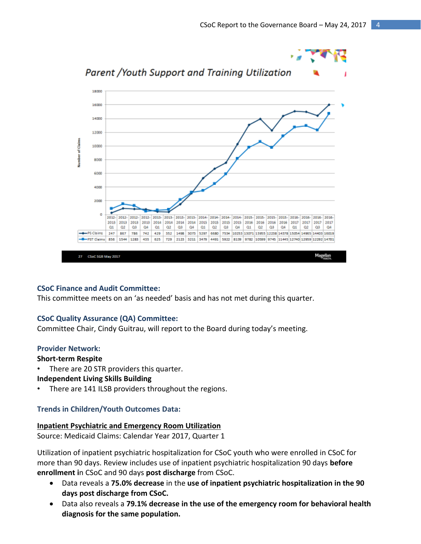

#### **CSoC Finance and Audit Committee:**

This committee meets on an 'as needed' basis and has not met during this quarter.

#### **CSoC Quality Assurance (QA) Committee:**

Committee Chair, Cindy Guitrau, will report to the Board during today's meeting.

#### **Provider Network:**

### **Short-term Respite**

There are 20 STR providers this quarter.

#### **Independent Living Skills Building**

There are 141 ILSB providers throughout the regions.

#### **Trends in Children/Youth Outcomes Data:**

#### **Inpatient Psychiatric and Emergency Room Utilization**

Source: Medicaid Claims: Calendar Year 2017, Quarter 1

Utilization of inpatient psychiatric hospitalization for CSoC youth who were enrolled in CSoC for more than 90 days. Review includes use of inpatient psychiatric hospitalization 90 days **before enrollment i**n CSoC and 90 days **post discharge** from CSoC.

- Data reveals a **75.0% decrease** in the **use of inpatient psychiatric hospitalization in the 90 days post discharge from CSoC.**
- Data also reveals a **79.1% decrease in the use of the emergency room for behavioral health diagnosis for the same population.**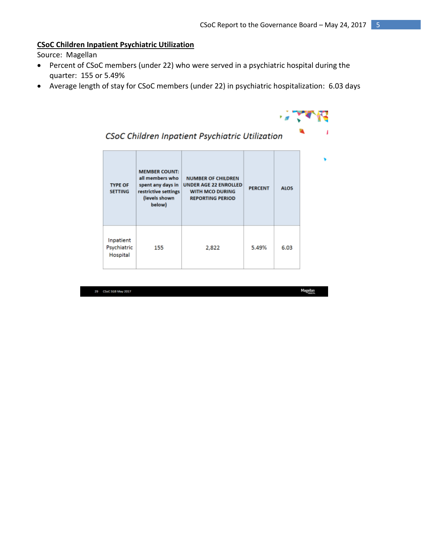#### **CSoC Children Inpatient Psychiatric Utilization**

Source: Magellan

- Percent of CSoC members (under 22) who were served in a psychiatric hospital during the quarter: 155 or 5.49%
- Average length of stay for CSoC members (under 22) in psychiatric hospitalization: 6.03 days



# CSoC Children Inpatient Psychiatric Utilization

| <b>TYPE OF</b><br><b>SETTING</b>     | <b>MEMBER COUNT:</b><br>all members who<br>spent any days in<br>restrictive settings<br>(levels shown<br>below) | <b>NUMBER OF CHILDREN</b><br><b>UNDER AGE 22 ENROLLED</b><br><b>WITH MCO DURING</b><br><b>REPORTING PERIOD</b> | <b>PERCENT</b> | <b>ALOS</b> |
|--------------------------------------|-----------------------------------------------------------------------------------------------------------------|----------------------------------------------------------------------------------------------------------------|----------------|-------------|
| Inpatient<br>Psychiatric<br>Hospital | 155                                                                                                             | 2,822                                                                                                          | 5.49%          | 6.03        |

29 CSoC 5GB May 2017

Magellan<br>Hanzi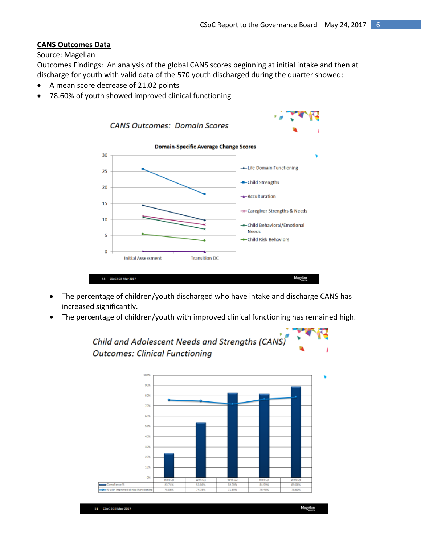### **CANS Outcomes Data**

#### Source: Magellan

Outcomes Findings: An analysis of the global CANS scores beginning at initial intake and then at discharge for youth with valid data of the 570 youth discharged during the quarter showed:

- A mean score decrease of 21.02 points
- 78.60% of youth showed improved clinical functioning



- The percentage of children/youth discharged who have intake and discharge CANS has increased significantly.
- The percentage of children/youth with improved clinical functioning has remained high.

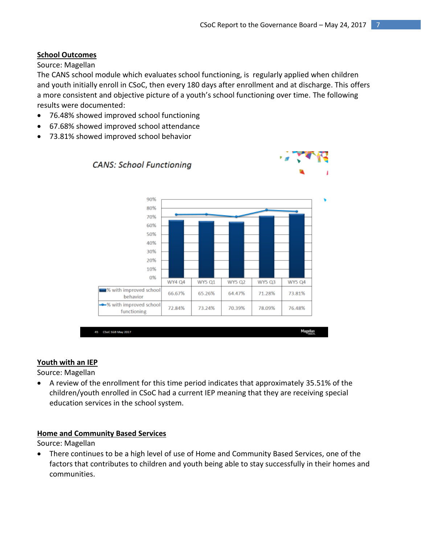# **School Outcomes**

# Source: Magellan

The CANS school module which evaluates school functioning, is regularly applied when children and youth initially enroll in CSoC, then every 180 days after enrollment and at discharge. This offers a more consistent and objective picture of a youth's school functioning over time. The following results were documented:

- 76.48% showed improved school functioning
- 67.68% showed improved school attendance
- 73.81% showed improved school behavior



# **Youth with an IEP**

Source: Magellan

 A review of the enrollment for this time period indicates that approximately 35.51% of the children/youth enrolled in CSoC had a current IEP meaning that they are receiving special education services in the school system.

# **Home and Community Based Services**

Source: Magellan

 There continues to be a high level of use of Home and Community Based Services, one of the factors that contributes to children and youth being able to stay successfully in their homes and communities.